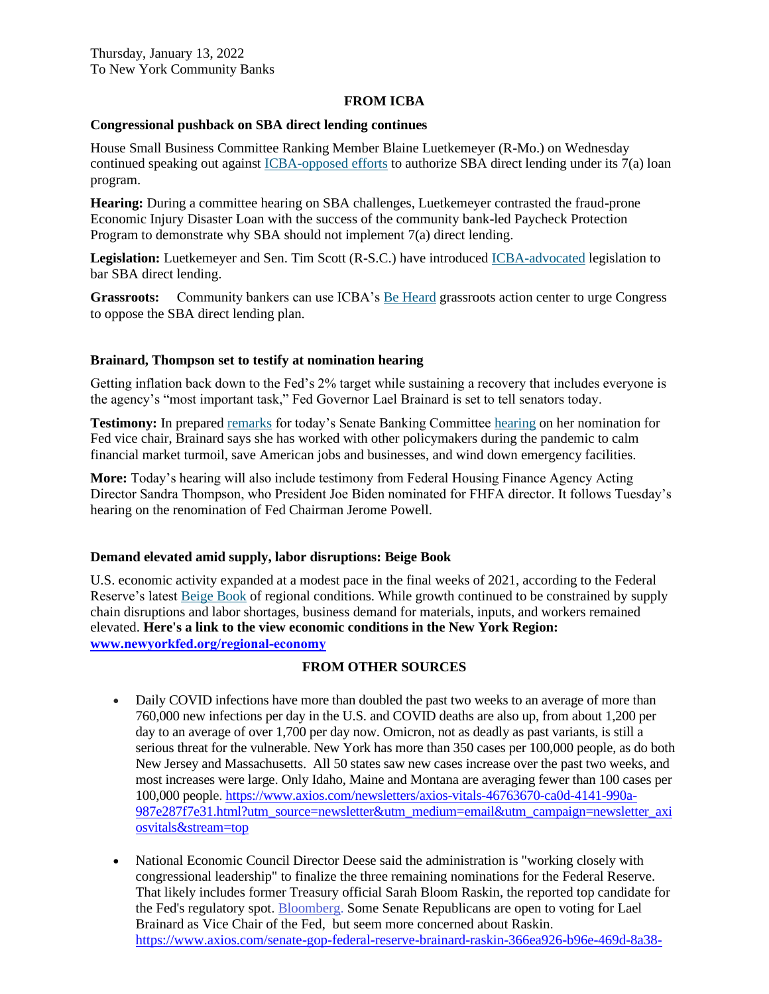### **FROM ICBA**

### **Congressional pushback on SBA direct lending continues**

House Small Business Committee Ranking Member Blaine Luetkemeyer (R-Mo.) on Wednesday continued speaking out against [ICBA-opposed efforts](https://email.icba.org/e3t/Btc/ZS+113/cBPxD04/VVRVZj9gmvmmW3-rVG-8t-wdzW3V7XmG4Dfr8HN1f4_XG3q3npV1-WJV7CgMf9W5mrnbY5yckLLV3hZQx2-q_yYW6X61-Z2R8FtFN8K5Z_hN50v2W3JNGvP15x2ZMW17vC6J4LVN_yW40KKpF2pXVnnW3z-8kc1SbSx_W7j8LpL7dBk43W5b87rM1DJdD3VzM_548Gx5xhW4NgG344qS09LW52TXvT5pDsXwW18FJsF6PfGQ1W5RHxbL5bt7B3Vj8jmd4_BzlLW65P_WQ8r8sV5W75f4496KnS75W2BGB087zYrVLW7Y73fy2cd-rBW2hB6VC8RLWb_VNPybw5r61_j37j_1) to authorize SBA direct lending under its 7(a) loan program.

**Hearing:** During a committee hearing on SBA challenges, Luetkemeyer contrasted the fraud-prone Economic Injury Disaster Loan with the success of the community bank-led Paycheck Protection Program to demonstrate why SBA should not implement 7(a) direct lending.

**Legislation:** Luetkemeyer and Sen. Tim Scott (R-S.C.) have introduced [ICBA-advocated](https://email.icba.org/e3t/Btc/ZS+113/cBPxD04/VVRVZj9gmvmmW3-rVG-8t-wdzW3V7XmG4Dfr8HN1f4_X35nCT_V3Zsc37CgFqNN8Dzv8mQbHyMN3lhkZqL8brdW2hgpQ37LcXRbW7k4j0Y4vb6CTW5ycfqp4h6NRWW6KYNHZ8ZY6pBN2MG5TccMqRlW4BSWNQ66X7FMW780JDZ4z1VYkW31-GDy3_dwh8VYxWWt5N9-dcW4SxddS62l3MqW34J3gw8PqFrsW7hj0XH4CZqQCW2g_n2m3JdwsnV_h9zD6P569QW7F5ltQ1xq0JWW5J4x-s2WQQpkW2gL7v58mMNLNW57p7lM30XMrGW903w9h6v8V2NW20-VY53cmCBvW8XRpg_5sfnkkW6XQ53q5671H7W5kCX9N18ySdgN8zXjQSGKP_9W28bWFM8L88wXW4C91lh4wPZ7_W8jLqvP5gSBXSW7YLZNF7Y7LYcW8rWY8t1YJq2CW8CgLJq1cQLgsW1FWMNJ2r7vq5V4wNfC8SQjJL32621) legislation to bar SBA direct lending.

**Grassroots:** Community bankers can use ICBA's [Be Heard](https://email.icba.org/e3t/Btc/ZS+113/cBPxD04/VVRVZj9gmvmmW3-rVG-8t-wdzW3V7XmG4Dfr8HN1f4_XG3q3npV1-WJV7CgJy6W71f76w3tHT7MN2mXYnlwnzbJW447mSF8Mrd6-W3_xlMP97NhzcW4l8z_f4VkgWkW2v2Mmt1zwgKGW1QRgmN3w3WVHN3cKm9vspP-yW2g-qDY1-tVgQW7yCdb78c4pqFW79ksD864mH-SW7vjzJg3T9YfCN6X-YfVDRmN_W8ZRlYy1W5ZzhW8tlwY13SQ42XN59jXqPww2SvW6fWmrM7Gwj5ZN22FRTTMh7fHW7TQJrT3MHtqwN1j4ldCHRgwgW5FWtVz4ggZJyW1y2Dzs843fd13j291) grassroots action center to urge Congress to oppose the SBA direct lending plan.

### **Brainard, Thompson set to testify at nomination hearing**

Getting inflation back down to the Fed's 2% target while sustaining a recovery that includes everyone is the agency's "most important task," Fed Governor Lael Brainard is set to tell senators today.

**Testimony:** In prepared [remarks](https://email.icba.org/e3t/Btc/ZS+113/cBPxD04/VVRVZj9gmvmmW3-rVG-8t-wdzW3V7XmG4Dfr8HN1f4_Yf3q3n_V1-WJV7CgHtkW3xtVJN5jDlpCW2L9nV324RMZ3W8L41-V8vKMZBN5W5x9PxbdVDVsrQbH6qpp_pMVl4gtZyQ7fW7Tb3fW7xxT23W3lvxWZ4Bts14W5h0Trh7pFS7tVNbgC91Kzt_dW8sCvsc736hC1W6wmzyW2LVMG4W1Q0-Kx2jYbCrW5xJfy45k8KDqW2Vdh-F61T-4DW7-v44l46sPp5W2fr7gx7s6X27W18HtsJ6Kq0B6W4HG3PK8YrDCkVpRVw353KwY2W3WmTKX8mPDCvW4pv-2570CHClW2xXV3L4-PVv7W4ysq-h5NnZ9_VxhfwH3SvYDFW4q8mv95-X2rt3lhl1) for today's Senate Banking Committe[e hearing](https://email.icba.org/e3t/Btc/ZS+113/cBPxD04/VVRVZj9gmvmmW3-rVG-8t-wdzW3V7XmG4Dfr8HN1f4_Yf3q3n_V1-WJV7CgZlHW352rhL4q-lLhW73MBd42TlQyxW5X0_mB21Mzs9W31RD632vm_19W1phwDK1bp-xRW8dv1cg3fYPZZW6QGT0S6jPQdgW5KkLwY4D7YBXW2K3ZvS57GQfGW4bx4ZM2BzgH-W2v0KHw7KgVswW9jr0Ts4mMmj0W4X-fqX5YDl18W4rJ1rw2Kn5ycW79Q_Cv8V6qhXW8TBnTv6GQC_GW8b9zkv1G1zRNW1P74Ts6rGchPW3t6bDy1nGHPNW4Z_fKB7pbPwNW2MWv-v1h_YYfW1638v27pTQGSW764w422PM5HpW5H4X6772jqNlW7hwxm_3bS-z4W2fJw-N5VHXwv3dHp1) on her nomination for Fed vice chair, Brainard says she has worked with other policymakers during the pandemic to calm financial market turmoil, save American jobs and businesses, and wind down emergency facilities.

**More:** Today's hearing will also include testimony from Federal Housing Finance Agency Acting Director Sandra Thompson, who President Joe Biden nominated for FHFA director. It follows Tuesday's hearing on the renomination of Fed Chairman Jerome Powell.

### **Demand elevated amid supply, labor disruptions: Beige Book**

U.S. economic activity expanded at a modest pace in the final weeks of 2021, according to the Federal Reserve's latest [Beige Book](https://email.icba.org/e3t/Btc/ZS+113/cBPxD04/VVRVZj9gmvmmW3-rVG-8t-wdzW3V7XmG4Dfr8HN1f4_XZ3q3nJV1-WJV7CgJF1N5ngSw-fjRvMW7bNt_J6FYGQlF8KnVQr5rw1W41qxBY74nVdXW3h9XQ697dNd2VS02zL80BXrMW3sD2Tz3JdvlbW5FVl4G4ws9JqW28hfv44q0Ky8N8KpVksPQ_FkW2xlYRm8v9dqlW4FqCX741tHhTN5_sKXb_tgrfD1FKJs9xQ-W4BNFqr5nlXCjW1SPZ5r607jMgW2Z7m2l7JNzgFW2zdc7H506vQYN1vN9Dd-x24BW3s-6qc87DgpdW8-562N9bcjLkN4k-0t-WP0qcVwCMWB4R7B9VW7Gm2P71M0SdR3l_l1) of regional conditions. While growth continued to be constrained by supply chain disruptions and labor shortages, business demand for materials, inputs, and workers remained elevated. **Here's a link to the view economic conditions in the New York Region: [www.newyorkfed.org/regional‐economy](http://www.newyorkfed.org/regional‐economy)**

# **FROM OTHER SOURCES**

- Daily COVID infections have more than doubled the past two weeks to an average of more than 760,000 new infections per day in the U.S. and COVID deaths are also up, from about 1,200 per day to an average of over 1,700 per day now. Omicron, not as deadly as past variants, is still a serious threat for the vulnerable. New York has more than 350 cases per 100,000 people, as do both New Jersey and Massachusetts. All 50 states saw new cases increase over the past two weeks, and most increases were large. Only Idaho, Maine and Montana are averaging fewer than 100 cases per 100,000 people[. https://www.axios.com/newsletters/axios-vitals-46763670-ca0d-4141-990a-](https://www.axios.com/newsletters/axios-vitals-46763670-ca0d-4141-990a-987e287f7e31.html?utm_source=newsletter&utm_medium=email&utm_campaign=newsletter_axiosvitals&stream=top)[987e287f7e31.html?utm\\_source=newsletter&utm\\_medium=email&utm\\_campaign=newsletter\\_axi](https://www.axios.com/newsletters/axios-vitals-46763670-ca0d-4141-990a-987e287f7e31.html?utm_source=newsletter&utm_medium=email&utm_campaign=newsletter_axiosvitals&stream=top) [osvitals&stream=top](https://www.axios.com/newsletters/axios-vitals-46763670-ca0d-4141-990a-987e287f7e31.html?utm_source=newsletter&utm_medium=email&utm_campaign=newsletter_axiosvitals&stream=top)
- National Economic Council Director Deese said the administration is "working closely with congressional leadership" to finalize the three remaining nominations for the Federal Reserve. That likely includes former Treasury official Sarah Bloom Raskin, the reported top candidate for the Fed's regulatory spot. [Bloomberg.](https://c.morningconsult.com/ODUwLVRBQS01MTEAAAGB8nxodyjBy4QxdGnrMD9saepCxbQYJMpRnvjp9grITH-15KiNjdMzi1AzSbfWsPi0sWxPHys=) Some Senate Republicans are open to voting for Lael Brainard as Vice Chair of the Fed, but seem more concerned about Raskin. [https://www.axios.com/senate-gop-federal-reserve-brainard-raskin-366ea926-b96e-469d-8a38-](https://www.axios.com/senate-gop-federal-reserve-brainard-raskin-366ea926-b96e-469d-8a38-b651e3dfcf06.html?utm_source=newsletter&utm_medium=email&utm_campaign=newsletter_axiossneakpeek&stream=top&mkt_tok=ODUwLVRBQS01MTEAAAGB8nxod672Pk7bb5XwP-h0vUmt_90lpmvy8kwjoCYzDCmeYkC4PrFIz3TuPgjwRIUssuTEwRXNRY0ZUyWyu-0LTL5CuUZMdEvapqTim3K6ncMl)